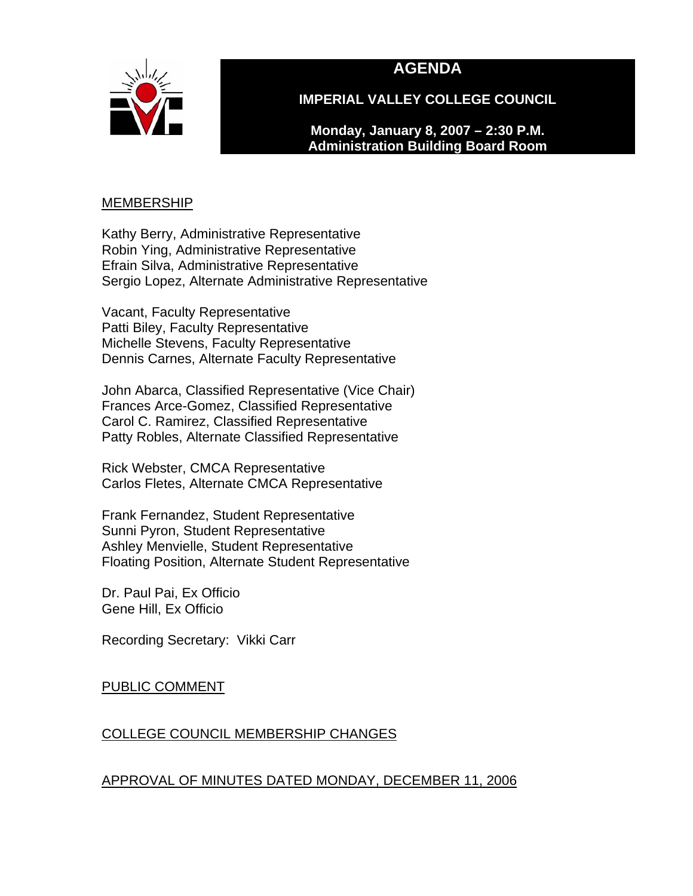

## **AGENDA**

**IMPERIAL VALLEY COLLEGE COUNCIL** 

**Monday, January 8, 2007 – 2:30 P.M. Administration Building Board Room** 

#### MEMBERSHIP

Kathy Berry, Administrative Representative Robin Ying, Administrative Representative Efrain Silva, Administrative Representative Sergio Lopez, Alternate Administrative Representative

Vacant, Faculty Representative Patti Biley, Faculty Representative Michelle Stevens, Faculty Representative Dennis Carnes, Alternate Faculty Representative

John Abarca, Classified Representative (Vice Chair) Frances Arce-Gomez, Classified Representative Carol C. Ramirez, Classified Representative Patty Robles, Alternate Classified Representative

Rick Webster, CMCA Representative Carlos Fletes, Alternate CMCA Representative

Frank Fernandez, Student Representative Sunni Pyron, Student Representative Ashley Menvielle, Student Representative Floating Position, Alternate Student Representative

Dr. Paul Pai, Ex Officio Gene Hill, Ex Officio

Recording Secretary: Vikki Carr

### PUBLIC COMMENT

## COLLEGE COUNCIL MEMBERSHIP CHANGES

## APPROVAL OF MINUTES DATED MONDAY, DECEMBER 11, 2006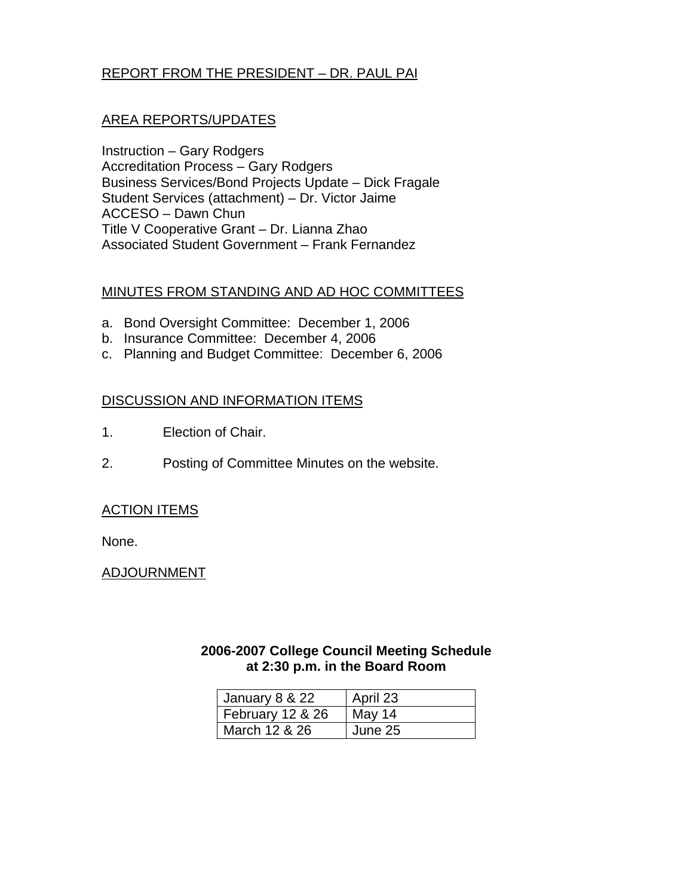## REPORT FROM THE PRESIDENT – DR. PAUL PAI

#### AREA REPORTS/UPDATES

Instruction – Gary Rodgers Accreditation Process – Gary Rodgers Business Services/Bond Projects Update – Dick Fragale Student Services (attachment) – Dr. Victor Jaime ACCESO – Dawn Chun Title V Cooperative Grant – Dr. Lianna Zhao Associated Student Government – Frank Fernandez

#### MINUTES FROM STANDING AND AD HOC COMMITTEES

- a. Bond Oversight Committee: December 1, 2006
- b. Insurance Committee: December 4, 2006
- c. Planning and Budget Committee: December 6, 2006

#### DISCUSSION AND INFORMATION ITEMS

- 1. Election of Chair.
- 2. Posting of Committee Minutes on the website.

#### ACTION ITEMS

None.

#### ADJOURNMENT

#### **2006-2007 College Council Meeting Schedule at 2:30 p.m. in the Board Room**

| January 8 & 22   | April 23 |
|------------------|----------|
| February 12 & 26 | May 14   |
| March 12 & 26    | June 25  |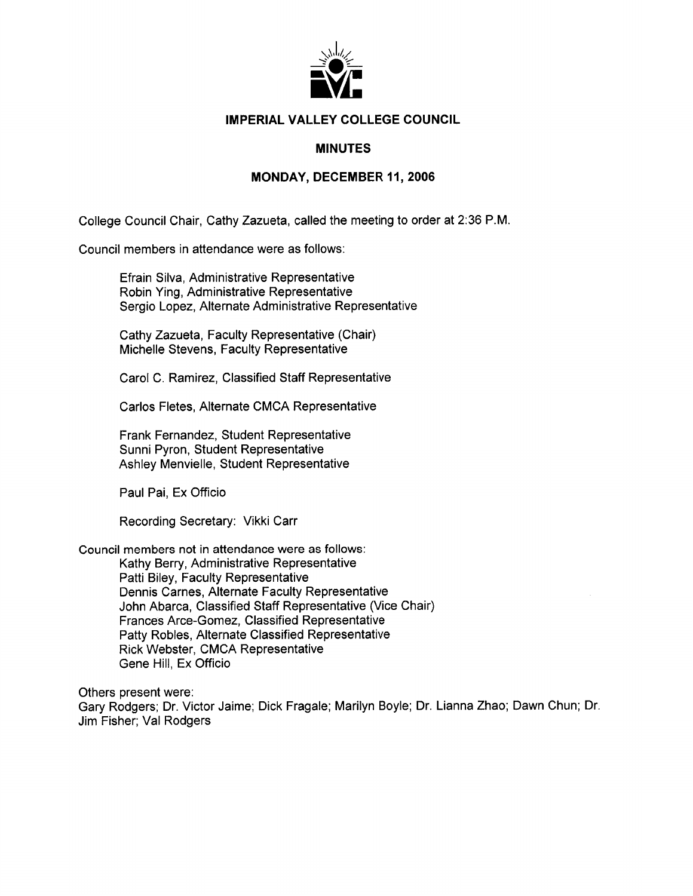

#### **IMPERIAL VALLEY COLLEGE COUNCIL**

#### **MINUTES**

#### **MONDAY, DECEMBER 11, 2006**

College Council Chair, Cathy Zazueta, called the meeting to order at 2:36 P.M.

Council members in attendance were as follows:

Efrain Silva, Administrative Representative Robin Ying, Administrative Representative Sergio Lopez, Alternate Administrative Representative

Cathy Zazueta, Faculty Representative (Chair) Michelle Stevens, Faculty Representative

Carol C. Ramirez, Classified Staff Representative

Carlos Fletes, Alternate CMCA Representative

Frank Fernandez, Student Representative Sunni Pyron, Student Representative Ashley Menvielle, Student Representative

Paul Pai, Ex Officio

Recording Secretary: Vikki Carr

Council members not in attendance were as follows:

Kathy Berry, Administrative Representative Patti Biley, Faculty Representative Dennis Carnes, Alternate Faculty Representative John Abarca. Classified Staff Representative (Vice Chair) Frances Arce-Gomez. Classified Representative Patty Robles, Alternate Classified Representative **Rick Webster, CMCA Representative** Gene Hill, Ex Officio

Others present were: Gary Rodgers; Dr. Victor Jaime; Dick Fragale; Marilyn Boyle; Dr. Lianna Zhao; Dawn Chun; Dr. Jim Fisher; Val Rodgers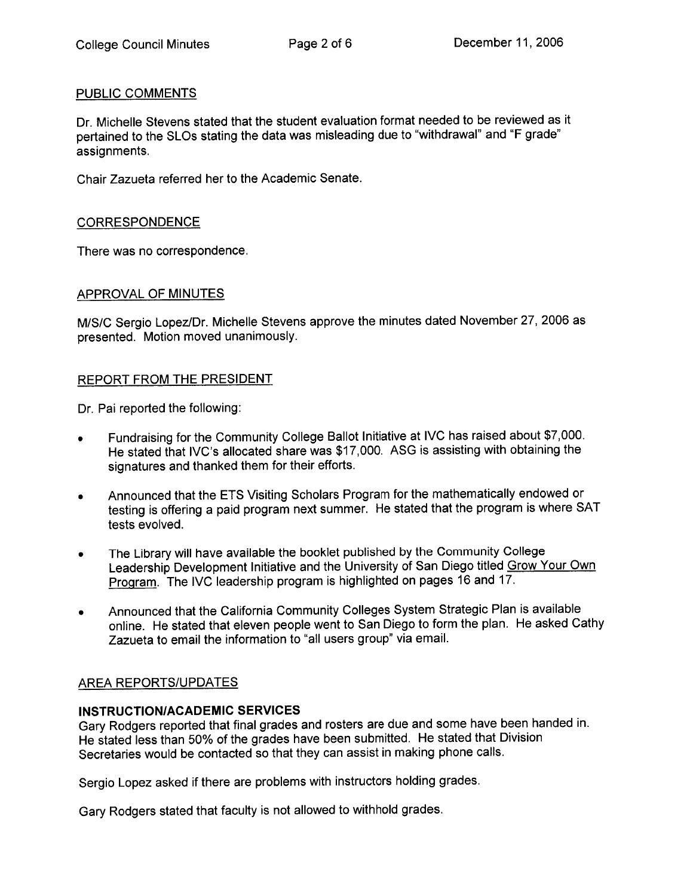#### PUBLIC COMMENTS

Dr. Michelle Stevens stated that the student evaluation format needed to be reviewed as it pertained to the SLOs stating the data was misleading due to "withdrawal" and "F grade" assignments.

Chair Zazueta referred her to the Academic Senate.

#### **CORRESPONDENCE**

There was no correspondence.

#### APPROVAL OF MINUTES

M/S/C Sergio Lopez/Dr. Michelle Stevens approve the minutes dated November 27, 2006 as presented. Motion moved unanimously.

#### REPORT FROM THE PRESIDENT

Dr. Pai reported the following:

- Fundraising for the Community College Ballot Initiative at IVC has raised about \$7,000.  $\bullet$ He stated that IVC's allocated share was \$17,000. ASG is assisting with obtaining the signatures and thanked them for their efforts.
- Announced that the ETS Visiting Scholars Program for the mathematically endowed or  $\bullet$ testing is offering a paid program next summer. He stated that the program is where SAT tests evolved.
- The Library will have available the booklet published by the Community College  $\bullet$ Leadership Development Initiative and the University of San Diego titled Grow Your Own Program. The IVC leadership program is highlighted on pages 16 and 17.
- Announced that the California Community Colleges System Strategic Plan is available  $\bullet$ online. He stated that eleven people went to San Diego to form the plan. He asked Cathy Zazueta to email the information to "all users group" via email.

#### **AREA REPORTS/UPDATES**

#### **INSTRUCTION/ACADEMIC SERVICES**

Gary Rodgers reported that final grades and rosters are due and some have been handed in. He stated less than 50% of the grades have been submitted. He stated that Division Secretaries would be contacted so that they can assist in making phone calls.

Sergio Lopez asked if there are problems with instructors holding grades.

Gary Rodgers stated that faculty is not allowed to withhold grades.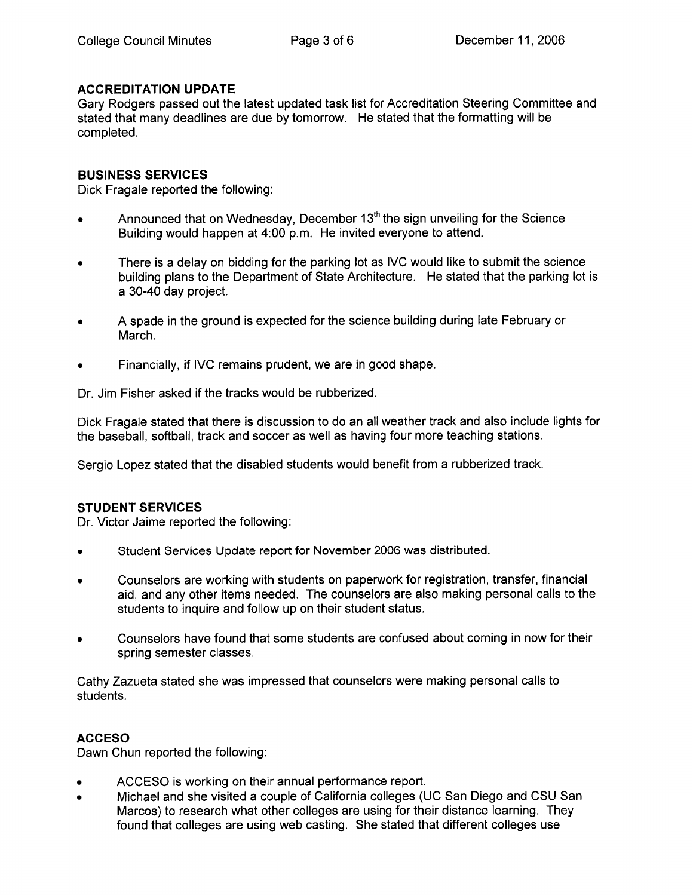#### **ACCREDITATION UPDATE**

Gary Rodgers passed out the latest updated task list for Accreditation Steering Committee and stated that many deadlines are due by tomorrow. He stated that the formatting will be completed.

#### **BUSINESS SERVICES**

Dick Fragale reported the following:

- Announced that on Wednesday, December 13<sup>th</sup> the sign unveiling for the Science  $\bullet$ Building would happen at 4:00 p.m. He invited everyone to attend.
- There is a delay on bidding for the parking lot as IVC would like to submit the science  $\bullet$ building plans to the Department of State Architecture. He stated that the parking lot is a 30-40 day project.
- A spade in the ground is expected for the science building during late February or March.
- Financially, if IVC remains prudent, we are in good shape.

Dr. Jim Fisher asked if the tracks would be rubberized.

Dick Fragale stated that there is discussion to do an all weather track and also include lights for the baseball, softball, track and soccer as well as having four more teaching stations.

Sergio Lopez stated that the disabled students would benefit from a rubberized track.

#### **STUDENT SERVICES**

Dr. Victor Jaime reported the following:

- Student Services Update report for November 2006 was distributed.  $\bullet$
- Counselors are working with students on paperwork for registration, transfer, financial  $\bullet$ aid, and any other items needed. The counselors are also making personal calls to the students to inquire and follow up on their student status.
- Counselors have found that some students are confused about coming in now for their  $\bullet$ spring semester classes.

Cathy Zazueta stated she was impressed that counselors were making personal calls to students.

#### **ACCESO**

Dawn Chun reported the following:

- ACCESO is working on their annual performance report.
- Michael and she visited a couple of California colleges (UC San Diego and CSU San Marcos) to research what other colleges are using for their distance learning. They found that colleges are using web casting. She stated that different colleges use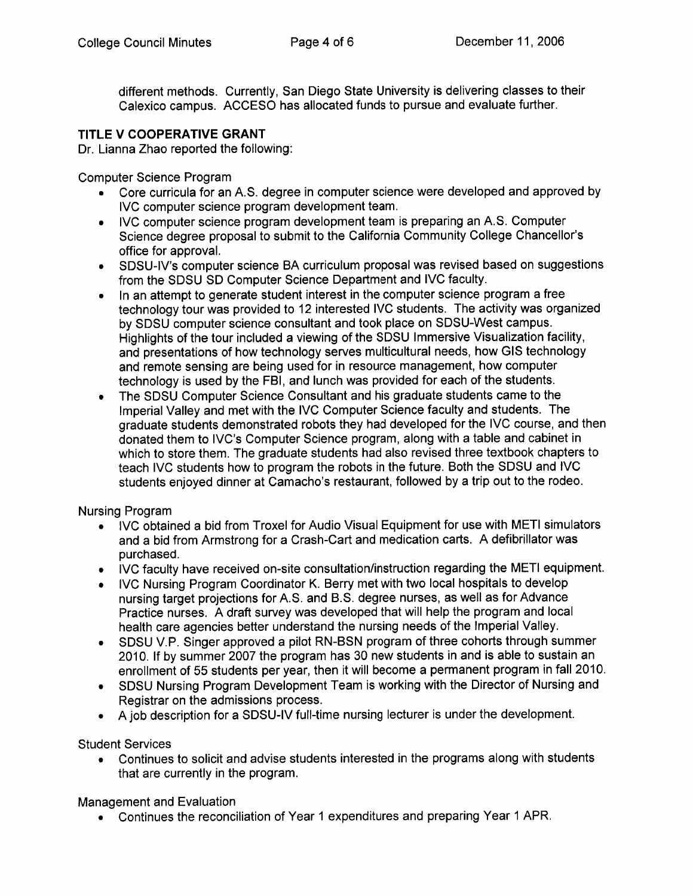different methods. Currently, San Diego State University is delivering classes to their Calexico campus. ACCESO has allocated funds to pursue and evaluate further.

### TITLE V COOPERATIVE GRANT

Dr. Lianna Zhao reported the following:

**Computer Science Program** 

- Core curricula for an A.S. degree in computer science were developed and approved by IVC computer science program development team.
- IVC computer science program development team is preparing an A.S. Computer Science degree proposal to submit to the California Community College Chancellor's office for approval.
- SDSU-IV's computer science BA curriculum proposal was revised based on suggestions from the SDSU SD Computer Science Department and IVC faculty.
- In an attempt to generate student interest in the computer science program a free technology tour was provided to 12 interested IVC students. The activity was organized by SDSU computer science consultant and took place on SDSU-West campus. Highlights of the tour included a viewing of the SDSU Immersive Visualization facility, and presentations of how technology serves multicultural needs, how GIS technology and remote sensing are being used for in resource management, how computer technology is used by the FBI, and lunch was provided for each of the students.
- The SDSU Computer Science Consultant and his graduate students came to the  $\bullet$ Imperial Valley and met with the IVC Computer Science faculty and students. The graduate students demonstrated robots they had developed for the IVC course, and then donated them to IVC's Computer Science program, along with a table and cabinet in which to store them. The graduate students had also revised three textbook chapters to teach IVC students how to program the robots in the future. Both the SDSU and IVC students enjoyed dinner at Camacho's restaurant, followed by a trip out to the rodeo.

### **Nursing Program**

- IVC obtained a bid from Troxel for Audio Visual Equipment for use with METI simulators and a bid from Armstrong for a Crash-Cart and medication carts. A defibrillator was purchased.
- IVC faculty have received on-site consultation/instruction regarding the METI equipment.
- IVC Nursing Program Coordinator K. Berry met with two local hospitals to develop nursing target projections for A.S. and B.S. degree nurses, as well as for Advance Practice nurses. A draft survey was developed that will help the program and local health care agencies better understand the nursing needs of the Imperial Valley.
- SDSU V.P. Singer approved a pilot RN-BSN program of three cohorts through summer  $\bullet$ 2010. If by summer 2007 the program has 30 new students in and is able to sustain an enrollment of 55 students per year, then it will become a permanent program in fall 2010.
- SDSU Nursing Program Development Team is working with the Director of Nursing and Registrar on the admissions process.
- A job description for a SDSU-IV full-time nursing lecturer is under the development.

**Student Services** 

• Continues to solicit and advise students interested in the programs along with students that are currently in the program.

Management and Evaluation

• Continues the reconciliation of Year 1 expenditures and preparing Year 1 APR.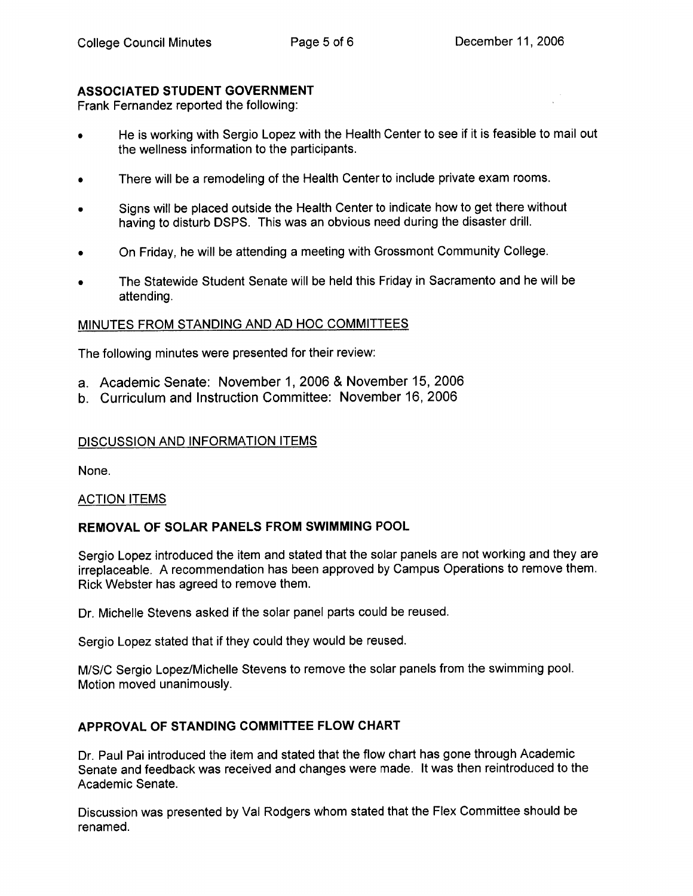#### **ASSOCIATED STUDENT GOVERNMENT**

Frank Fernandez reported the following:

- He is working with Sergio Lopez with the Health Center to see if it is feasible to mail out the wellness information to the participants.
- There will be a remodeling of the Health Center to include private exam rooms.
- Signs will be placed outside the Health Center to indicate how to get there without having to disturb DSPS. This was an obvious need during the disaster drill.
- On Friday, he will be attending a meeting with Grossmont Community College.
- The Statewide Student Senate will be held this Friday in Sacramento and he will be attending.

#### MINUTES FROM STANDING AND AD HOC COMMITTEES

The following minutes were presented for their review:

- a. Academic Senate: November 1, 2006 & November 15, 2006
- b. Curriculum and Instruction Committee: November 16, 2006

#### DISCUSSION AND INFORMATION ITEMS

None.

#### **ACTION ITEMS**

#### REMOVAL OF SOLAR PANELS FROM SWIMMING POOL

Sergio Lopez introduced the item and stated that the solar panels are not working and they are irreplaceable. A recommendation has been approved by Campus Operations to remove them. Rick Webster has agreed to remove them.

Dr. Michelle Stevens asked if the solar panel parts could be reused.

Sergio Lopez stated that if they could they would be reused.

M/S/C Sergio Lopez/Michelle Stevens to remove the solar panels from the swimming pool. Motion moved unanimously.

#### APPROVAL OF STANDING COMMITTEE FLOW CHART

Dr. Paul Pai introduced the item and stated that the flow chart has gone through Academic Senate and feedback was received and changes were made. It was then reintroduced to the Academic Senate.

Discussion was presented by Val Rodgers whom stated that the Flex Committee should be renamed.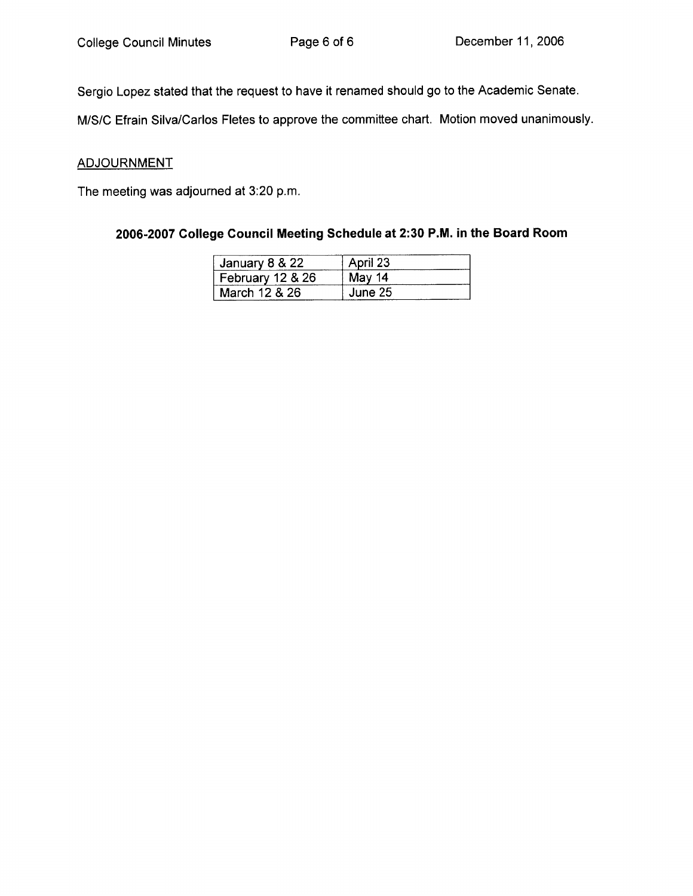Sergio Lopez stated that the request to have it renamed should go to the Academic Senate.

M/S/C Efrain Silva/Carlos Fletes to approve the committee chart. Motion moved unanimously.

#### **ADJOURNMENT**

The meeting was adjourned at 3:20 p.m.

## 2006-2007 College Council Meeting Schedule at 2:30 P.M. in the Board Room

| January 8 & 22   | April 23 |
|------------------|----------|
| February 12 & 26 | May 14   |
| March 12 & 26    | June 25  |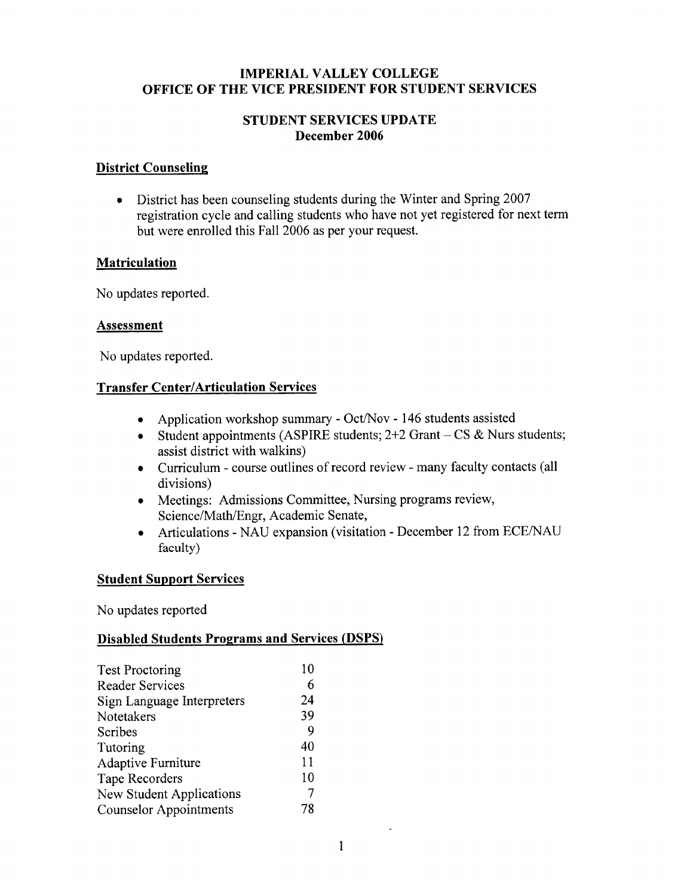#### **IMPERIAL VALLEY COLLEGE** OFFICE OF THE VICE PRESIDENT FOR STUDENT SERVICES

#### **STUDENT SERVICES UPDATE** December 2006

#### **District Counseling**

• District has been counseling students during the Winter and Spring 2007 registration cycle and calling students who have not yet registered for next term but were enrolled this Fall 2006 as per your request.

#### **Matriculation**

No updates reported.

#### **Assessment**

No updates reported.

### **Transfer Center/Articulation Services**

- Application workshop summary Oct/Nov 146 students assisted
- Student appointments (ASPIRE students;  $2+2$  Grant  $-$  CS & Nurs students; assist district with walkins)
- Curriculum course outlines of record review many faculty contacts (all divisions)
- Meetings: Admissions Committee, Nursing programs review, Science/Math/Engr, Academic Senate,
- Articulations NAU expansion (visitation December 12 from ECE/NAU faculty)

#### **Student Support Services**

No updates reported

### **Disabled Students Programs and Services (DSPS)**

| <b>Test Proctoring</b>          | 10 |
|---------------------------------|----|
| <b>Reader Services</b>          | 6  |
| Sign Language Interpreters      | 24 |
| Notetakers                      | 39 |
| Scribes                         | 9  |
| Tutoring                        | 40 |
| <b>Adaptive Furniture</b>       | 11 |
| Tape Recorders                  | 10 |
| <b>New Student Applications</b> | 7  |
| <b>Counselor Appointments</b>   | 78 |

 $\sim$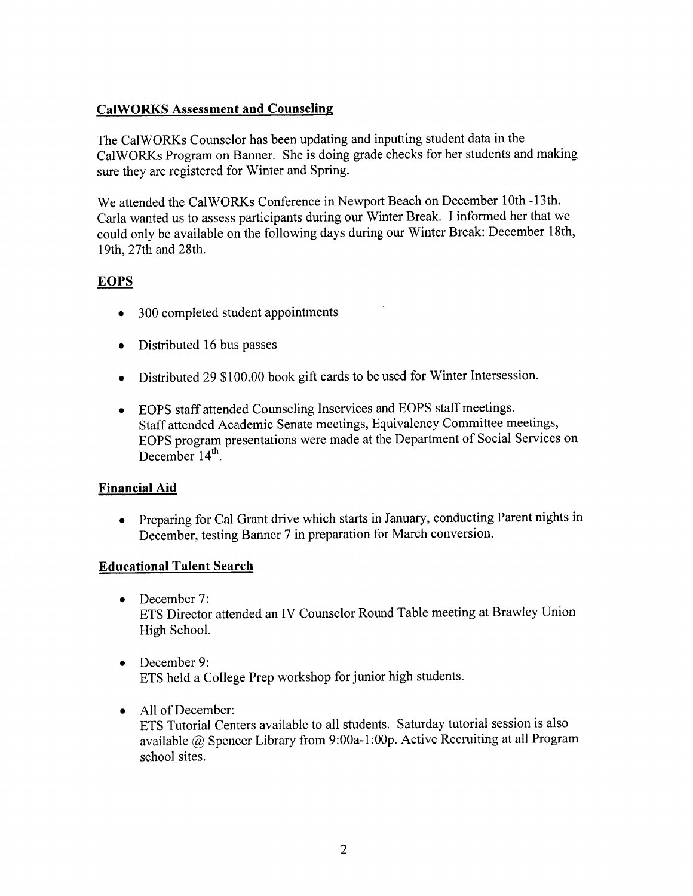## **CalWORKS Assessment and Counseling**

The CalWORKs Counselor has been updating and inputting student data in the CalWORKs Program on Banner. She is doing grade checks for her students and making sure they are registered for Winter and Spring.

We attended the CalWORKs Conference in Newport Beach on December 10th -13th. Carla wanted us to assess participants during our Winter Break. I informed her that we could only be available on the following days during our Winter Break: December 18th, 19th, 27th and 28th.

## **EOPS**

- 300 completed student appointments
- Distributed 16 bus passes
- Distributed 29 \$100.00 book gift cards to be used for Winter Intersession.
- EOPS staff attended Counseling Inservices and EOPS staff meetings. Staff attended Academic Senate meetings, Equivalency Committee meetings, EOPS program presentations were made at the Department of Social Services on December  $14^{th}$ .

### **Financial Aid**

• Preparing for Cal Grant drive which starts in January, conducting Parent nights in December, testing Banner 7 in preparation for March conversion.

### **Educational Talent Search**

- $\bullet$  December 7: ETS Director attended an IV Counselor Round Table meeting at Brawley Union High School.
- $\bullet$  December 9: ETS held a College Prep workshop for junior high students.
- All of December: ETS Tutorial Centers available to all students. Saturday tutorial session is also available @ Spencer Library from 9:00a-1:00p. Active Recruiting at all Program school sites.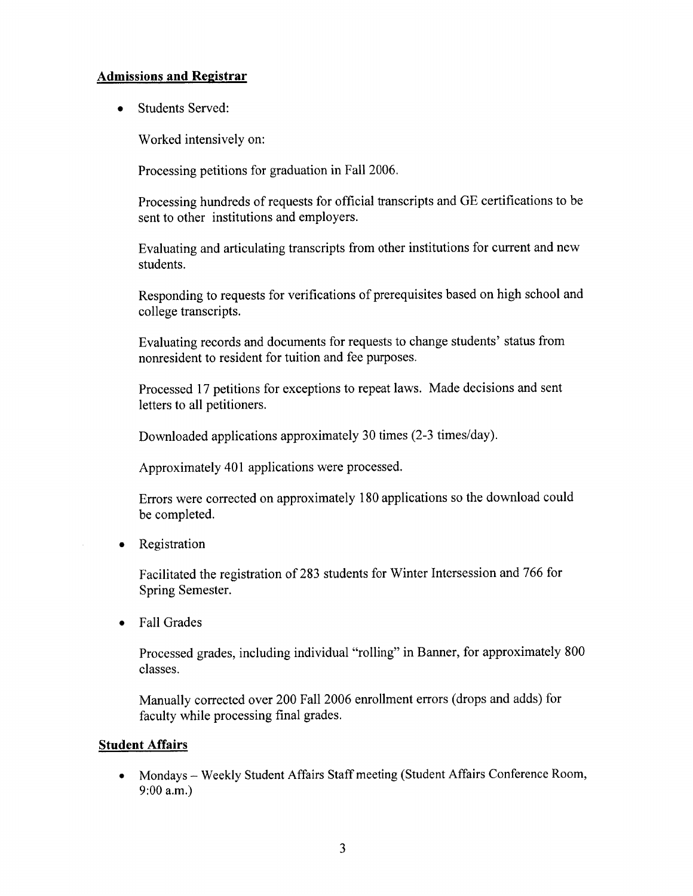#### **Admissions and Registrar**

**Students Served:**  $\bullet$ 

Worked intensively on:

Processing petitions for graduation in Fall 2006.

Processing hundreds of requests for official transcripts and GE certifications to be sent to other institutions and employers.

Evaluating and articulating transcripts from other institutions for current and new students.

Responding to requests for verifications of prerequisites based on high school and college transcripts.

Evaluating records and documents for requests to change students' status from nonresident to resident for tuition and fee purposes.

Processed 17 petitions for exceptions to repeat laws. Made decisions and sent letters to all petitioners.

Downloaded applications approximately 30 times (2-3 times/day).

Approximately 401 applications were processed.

Errors were corrected on approximately 180 applications so the download could be completed.

• Registration

Facilitated the registration of 283 students for Winter Intersession and 766 for Spring Semester.

**Fall Grades**  $\bullet$ 

> Processed grades, including individual "rolling" in Banner, for approximately 800 classes.

Manually corrected over 200 Fall 2006 enrollment errors (drops and adds) for faculty while processing final grades.

#### **Student Affairs**

• Mondays – Weekly Student Affairs Staff meeting (Student Affairs Conference Room,  $9:00$  a.m.)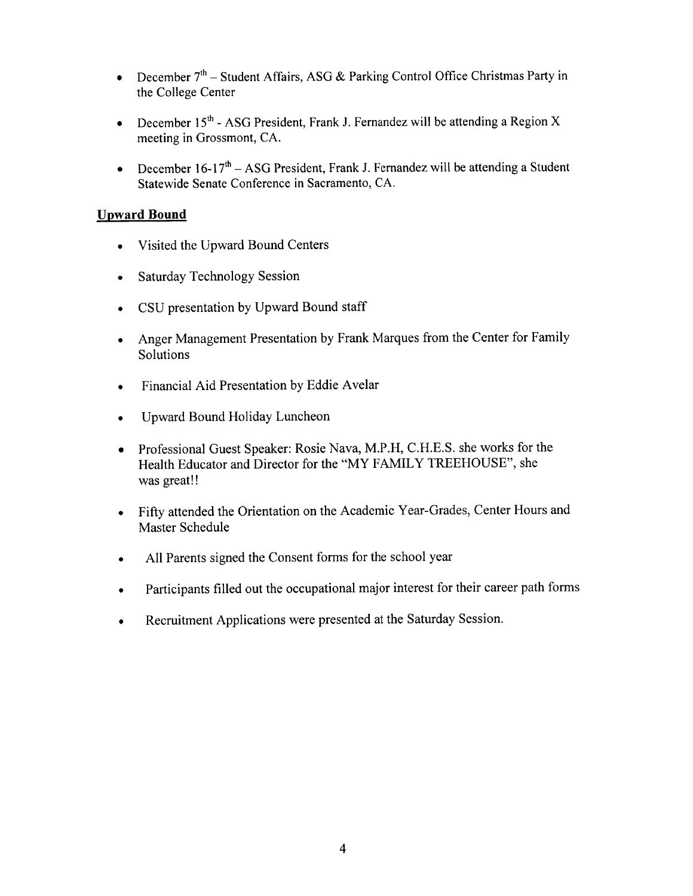- December  $7<sup>th</sup>$  Student Affairs, ASG & Parking Control Office Christmas Party in  $\bullet$ the College Center
- December 15<sup>th</sup> ASG President, Frank J. Fernandez will be attending a Region X  $\bullet$ meeting in Grossmont, CA.
- December  $16-17<sup>th</sup> ASG President$ , Frank J. Fernandez will be attending a Student  $\bullet$ Statewide Senate Conference in Sacramento, CA.

#### **Upward Bound**

- Visited the Upward Bound Centers  $\bullet$
- Saturday Technology Session  $\bullet$
- CSU presentation by Upward Bound staff
- Anger Management Presentation by Frank Marques from the Center for Family  $\bullet$ Solutions
- Financial Aid Presentation by Eddie Avelar  $\bullet$
- Upward Bound Holiday Luncheon  $\bullet$
- Professional Guest Speaker: Rosie Nava, M.P.H, C.H.E.S. she works for the  $\bullet$ Health Educator and Director for the "MY FAMILY TREEHOUSE", she was great!!
- Fifty attended the Orientation on the Academic Year-Grades, Center Hours and  $\bullet$ Master Schedule
- All Parents signed the Consent forms for the school year  $\bullet$
- Participants filled out the occupational major interest for their career path forms  $\bullet$
- Recruitment Applications were presented at the Saturday Session.  $\bullet$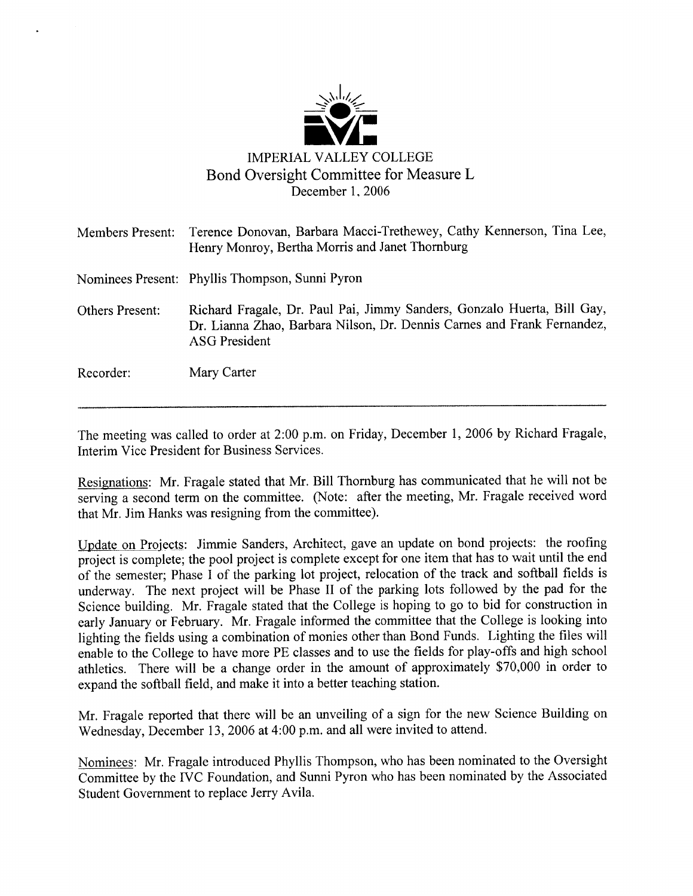

| <b>Members Present:</b> | Terence Donovan, Barbara Macci-Trethewey, Cathy Kennerson, Tina Lee,<br>Henry Monroy, Bertha Morris and Janet Thornburg                                                    |
|-------------------------|----------------------------------------------------------------------------------------------------------------------------------------------------------------------------|
|                         | Nominees Present: Phyllis Thompson, Sunni Pyron                                                                                                                            |
| <b>Others Present:</b>  | Richard Fragale, Dr. Paul Pai, Jimmy Sanders, Gonzalo Huerta, Bill Gay,<br>Dr. Lianna Zhao, Barbara Nilson, Dr. Dennis Carnes and Frank Fernandez,<br><b>ASG President</b> |
| Recorder:               | Mary Carter                                                                                                                                                                |

The meeting was called to order at 2:00 p.m. on Friday, December 1, 2006 by Richard Fragale, Interim Vice President for Business Services.

Resignations: Mr. Fragale stated that Mr. Bill Thornburg has communicated that he will not be serving a second term on the committee. (Note: after the meeting, Mr. Fragale received word that Mr. Jim Hanks was resigning from the committee).

Update on Projects: Jimmie Sanders, Architect, gave an update on bond projects: the roofing project is complete; the pool project is complete except for one item that has to wait until the end of the semester; Phase I of the parking lot project, relocation of the track and softball fields is underway. The next project will be Phase II of the parking lots followed by the pad for the Science building. Mr. Fragale stated that the College is hoping to go to bid for construction in early January or February. Mr. Fragale informed the committee that the College is looking into lighting the fields using a combination of monies other than Bond Funds. Lighting the files will enable to the College to have more PE classes and to use the fields for play-offs and high school athletics. There will be a change order in the amount of approximately \$70,000 in order to expand the softball field, and make it into a better teaching station.

Mr. Fragale reported that there will be an unveiling of a sign for the new Science Building on Wednesday, December 13, 2006 at 4:00 p.m. and all were invited to attend.

Nominees: Mr. Fragale introduced Phyllis Thompson, who has been nominated to the Oversight Committee by the IVC Foundation, and Sunni Pyron who has been nominated by the Associated Student Government to replace Jerry Avila.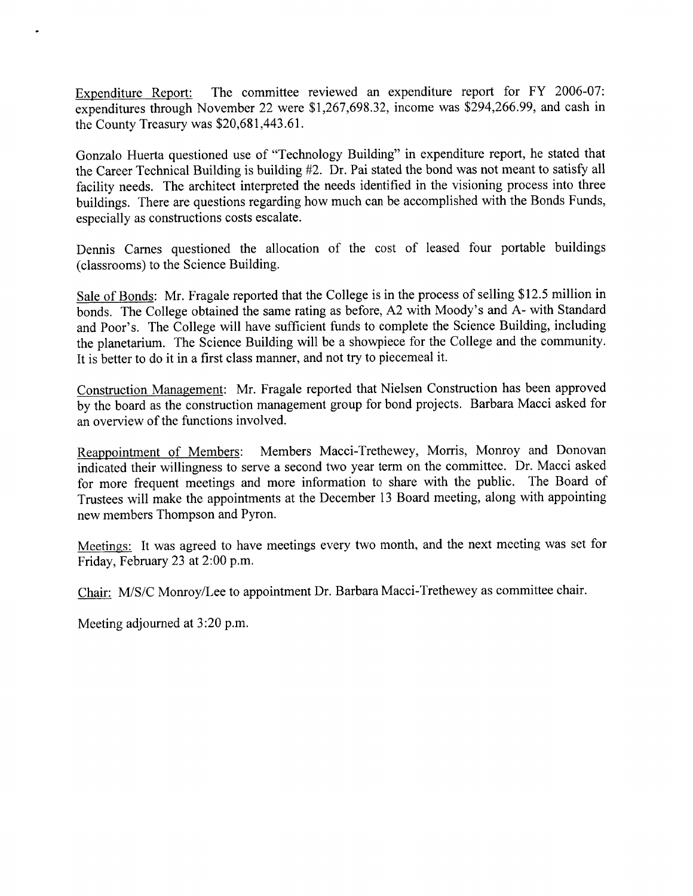Expenditure Report: The committee reviewed an expenditure report for FY 2006-07: expenditures through November 22 were \$1,267,698.32, income was \$294,266.99, and cash in the County Treasury was \$20,681,443.61.

Gonzalo Huerta questioned use of "Technology Building" in expenditure report, he stated that the Career Technical Building is building #2. Dr. Pai stated the bond was not meant to satisfy all facility needs. The architect interpreted the needs identified in the visioning process into three buildings. There are questions regarding how much can be accomplished with the Bonds Funds, especially as constructions costs escalate.

Dennis Carnes questioned the allocation of the cost of leased four portable buildings (classrooms) to the Science Building.

Sale of Bonds: Mr. Fragale reported that the College is in the process of selling \$12.5 million in bonds. The College obtained the same rating as before, A2 with Moody's and A- with Standard and Poor's. The College will have sufficient funds to complete the Science Building, including the planetarium. The Science Building will be a showpiece for the College and the community. It is better to do it in a first class manner, and not try to piecemeal it.

Construction Management: Mr. Fragale reported that Nielsen Construction has been approved by the board as the construction management group for bond projects. Barbara Macci asked for an overview of the functions involved.

Reappointment of Members: Members Macci-Trethewey, Morris, Monroy and Donovan indicated their willingness to serve a second two year term on the committee. Dr. Macci asked for more frequent meetings and more information to share with the public. The Board of Trustees will make the appointments at the December 13 Board meeting, along with appointing new members Thompson and Pyron.

Meetings: It was agreed to have meetings every two month, and the next meeting was set for Friday, February 23 at 2:00 p.m.

Chair: M/S/C Monroy/Lee to appointment Dr. Barbara Macci-Trethewey as committee chair.

Meeting adjourned at 3:20 p.m.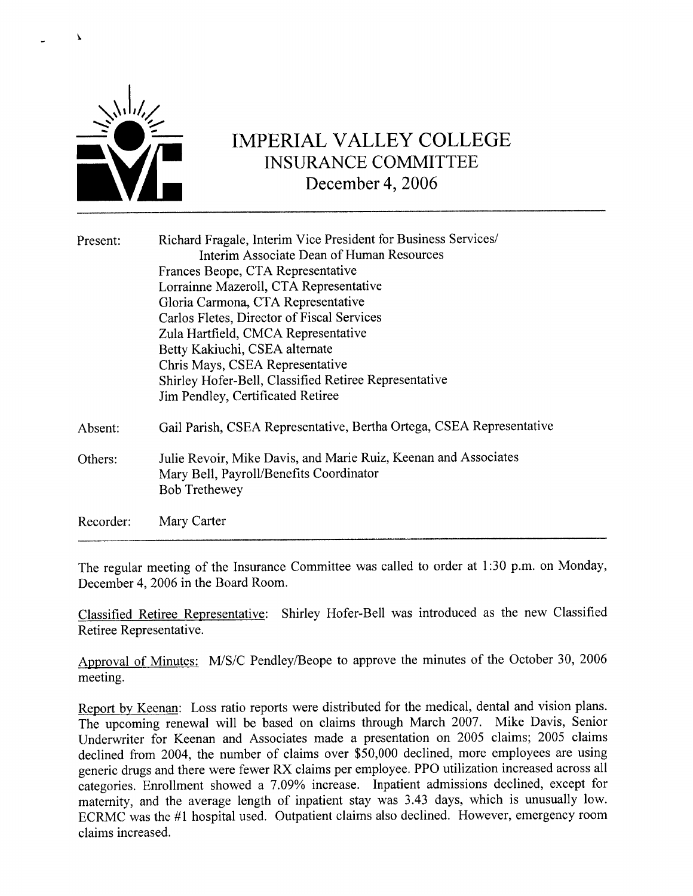

# **IMPERIAL VALLEY COLLEGE INSURANCE COMMITTEE** December 4, 2006

| Present:  | Richard Fragale, Interim Vice President for Business Services/       |
|-----------|----------------------------------------------------------------------|
|           | Interim Associate Dean of Human Resources                            |
|           | Frances Beope, CTA Representative                                    |
|           | Lorrainne Mazeroll, CTA Representative                               |
|           | Gloria Carmona, CTA Representative                                   |
|           | Carlos Fletes, Director of Fiscal Services                           |
|           | Zula Hartfield, CMCA Representative                                  |
|           | Betty Kakiuchi, CSEA alternate                                       |
|           | Chris Mays, CSEA Representative                                      |
|           | Shirley Hofer-Bell, Classified Retiree Representative                |
|           | Jim Pendley, Certificated Retiree                                    |
| Absent:   | Gail Parish, CSEA Representative, Bertha Ortega, CSEA Representative |
| Others:   | Julie Revoir, Mike Davis, and Marie Ruiz, Keenan and Associates      |
|           | Mary Bell, Payroll/Benefits Coordinator                              |
|           | <b>Bob Trethewey</b>                                                 |
| Recorder: | Mary Carter                                                          |

The regular meeting of the Insurance Committee was called to order at 1:30 p.m. on Monday, December 4, 2006 in the Board Room.

Classified Retiree Representative: Shirley Hofer-Bell was introduced as the new Classified Retiree Representative.

Approval of Minutes: M/S/C Pendley/Beope to approve the minutes of the October 30, 2006 meeting.

Report by Keenan: Loss ratio reports were distributed for the medical, dental and vision plans. The upcoming renewal will be based on claims through March 2007. Mike Davis, Senior Underwriter for Keenan and Associates made a presentation on 2005 claims; 2005 claims declined from 2004, the number of claims over  $\overline{$}50,000$  declined, more employees are using generic drugs and there were fewer RX claims per employee. PPO utilization increased across all categories. Enrollment showed a 7.09% increase. Inpatient admissions declined, except for maternity, and the average length of inpatient stay was 3.43 days, which is unusually low. ECRMC was the #1 hospital used. Outpatient claims also declined. However, emergency room claims increased.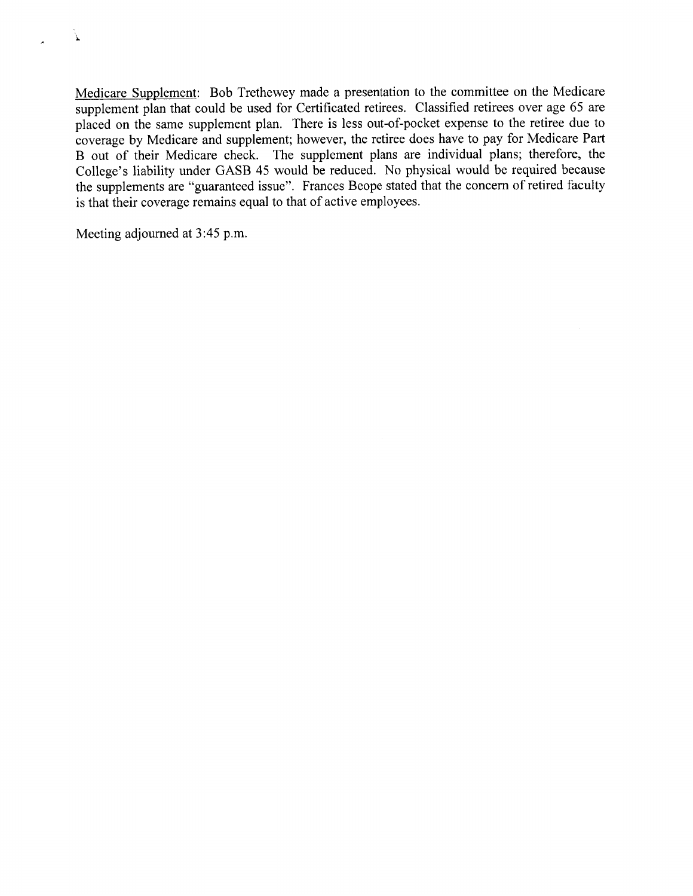×

Medicare Supplement: Bob Trethewey made a presentation to the committee on the Medicare supplement plan that could be used for Certificated retirees. Classified retirees over age 65 are placed on the same supplement plan. There is less out-of-pocket expense to the retiree due to coverage by Medicare and supplement; however, the retiree does have to pay for Medicare Part B out of their Medicare check. The supplement plans are individual plans; therefore, the College's liability under GASB 45 would be reduced. No physical would be required because the supplements are "guaranteed issue". Frances Beope stated that the concern of retired faculty is that their coverage remains equal to that of active employees.

Meeting adjourned at 3:45 p.m.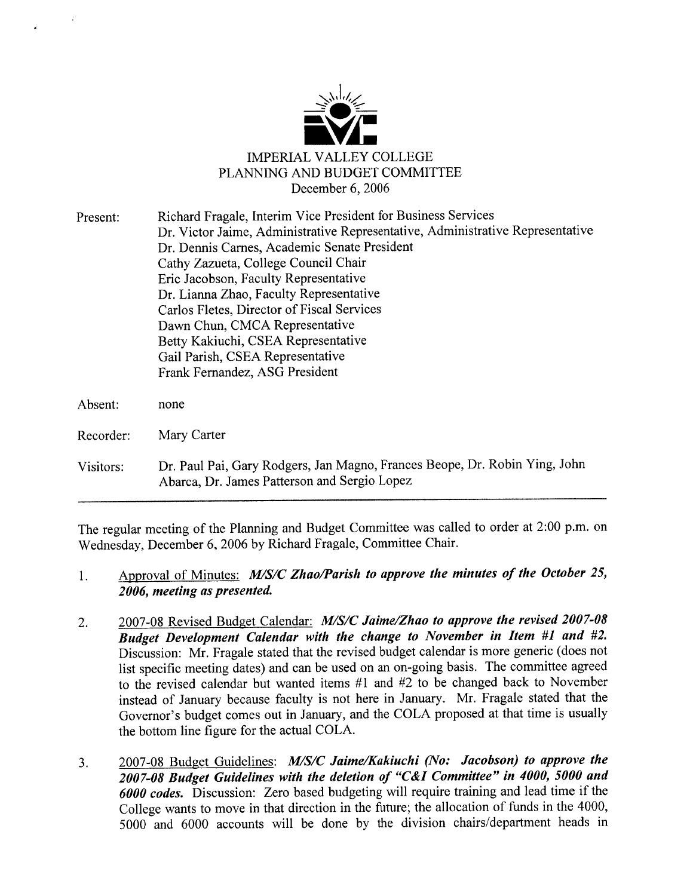

| Present:  | Richard Fragale, Interim Vice President for Business Services                                                              |
|-----------|----------------------------------------------------------------------------------------------------------------------------|
|           | Dr. Victor Jaime, Administrative Representative, Administrative Representative                                             |
|           | Dr. Dennis Carnes, Academic Senate President                                                                               |
|           | Cathy Zazueta, College Council Chair                                                                                       |
|           | Eric Jacobson, Faculty Representative                                                                                      |
|           | Dr. Lianna Zhao, Faculty Representative                                                                                    |
|           | Carlos Fletes, Director of Fiscal Services                                                                                 |
|           | Dawn Chun, CMCA Representative                                                                                             |
|           | Betty Kakiuchi, CSEA Representative                                                                                        |
|           | Gail Parish, CSEA Representative                                                                                           |
|           | Frank Fernandez, ASG President                                                                                             |
| Absent:   | none                                                                                                                       |
|           |                                                                                                                            |
| Recorder: | Mary Carter                                                                                                                |
| Visitors: | Dr. Paul Pai, Gary Rodgers, Jan Magno, Frances Beope, Dr. Robin Ying, John<br>Abarca, Dr. James Patterson and Sergio Lopez |

The regular meeting of the Planning and Budget Committee was called to order at 2:00 p.m. on Wednesday, December 6, 2006 by Richard Fragale, Committee Chair.

#### Approval of Minutes: M/S/C Zhao/Parish to approve the minutes of the October 25, 1. 2006, meeting as presented.

- 2007-08 Revised Budget Calendar: M/S/C Jaime/Zhao to approve the revised 2007-08  $2.$ Budget Development Calendar with the change to November in Item #1 and #2. Discussion: Mr. Fragale stated that the revised budget calendar is more generic (does not list specific meeting dates) and can be used on an on-going basis. The committee agreed to the revised calendar but wanted items #1 and #2 to be changed back to November instead of January because faculty is not here in January. Mr. Fragale stated that the Governor's budget comes out in January, and the COLA proposed at that time is usually the bottom line figure for the actual COLA.
- 2007-08 Budget Guidelines: M/S/C Jaime/Kakiuchi (No: Jacobson) to approve the  $3.$ 2007-08 Budget Guidelines with the deletion of "C&I Committee" in 4000, 5000 and 6000 codes. Discussion: Zero based budgeting will require training and lead time if the College wants to move in that direction in the future; the allocation of funds in the 4000, 5000 and 6000 accounts will be done by the division chairs/department heads in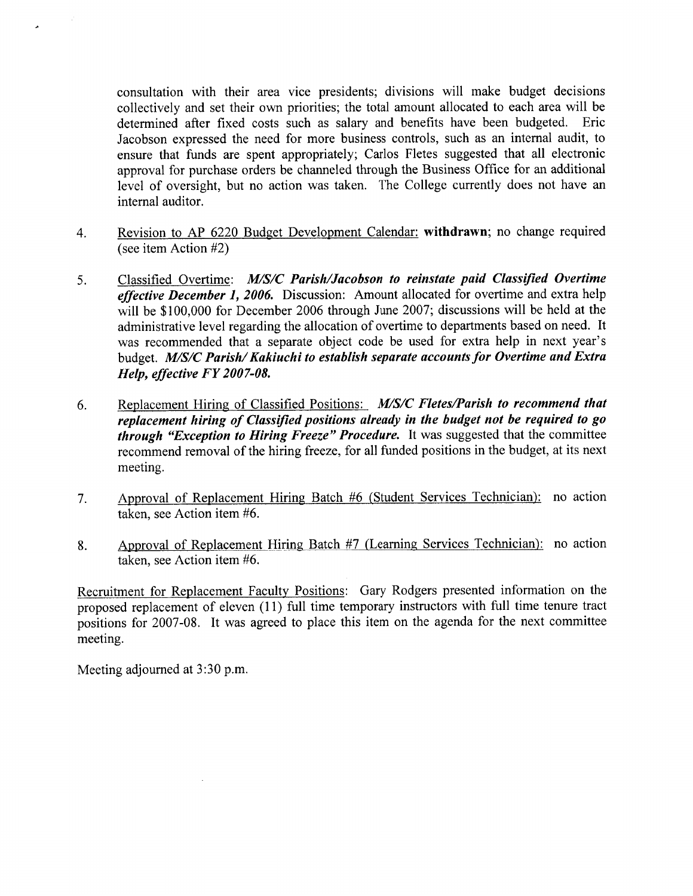consultation with their area vice presidents; divisions will make budget decisions collectively and set their own priorities; the total amount allocated to each area will be determined after fixed costs such as salary and benefits have been budgeted. Eric Jacobson expressed the need for more business controls, such as an internal audit, to ensure that funds are spent appropriately; Carlos Fletes suggested that all electronic approval for purchase orders be channeled through the Business Office for an additional level of oversight, but no action was taken. The College currently does not have an internal auditor.

- Revision to AP 6220 Budget Development Calendar: withdrawn; no change required  $4.$ (see item Action #2)
- 5. Classified Overtime: M/S/C Parish/Jacobson to reinstate paid Classified Overtime effective December 1, 2006. Discussion: Amount allocated for overtime and extra help will be \$100,000 for December 2006 through June 2007; discussions will be held at the administrative level regarding the allocation of overtime to departments based on need. It was recommended that a separate object code be used for extra help in next year's budget. M/S/C Parish/Kakiuchi to establish separate accounts for Overtime and Extra Help, effective FY 2007-08.
- Replacement Hiring of Classified Positions: M/S/C Fletes/Parish to recommend that 6. replacement hiring of Classified positions already in the budget not be required to go *through "Exception to Hiring Freeze" Procedure.* It was suggested that the committee recommend removal of the hiring freeze, for all funded positions in the budget, at its next meeting.
- Approval of Replacement Hiring Batch #6 (Student Services Technician): no action 7. taken, see Action item #6.
- Approval of Replacement Hiring Batch #7 (Learning Services Technician): no action 8. taken, see Action item #6.

Recruitment for Replacement Faculty Positions: Gary Rodgers presented information on the proposed replacement of eleven (11) full time temporary instructors with full time tenure tract positions for 2007-08. It was agreed to place this item on the agenda for the next committee meeting.

Meeting adjourned at 3:30 p.m.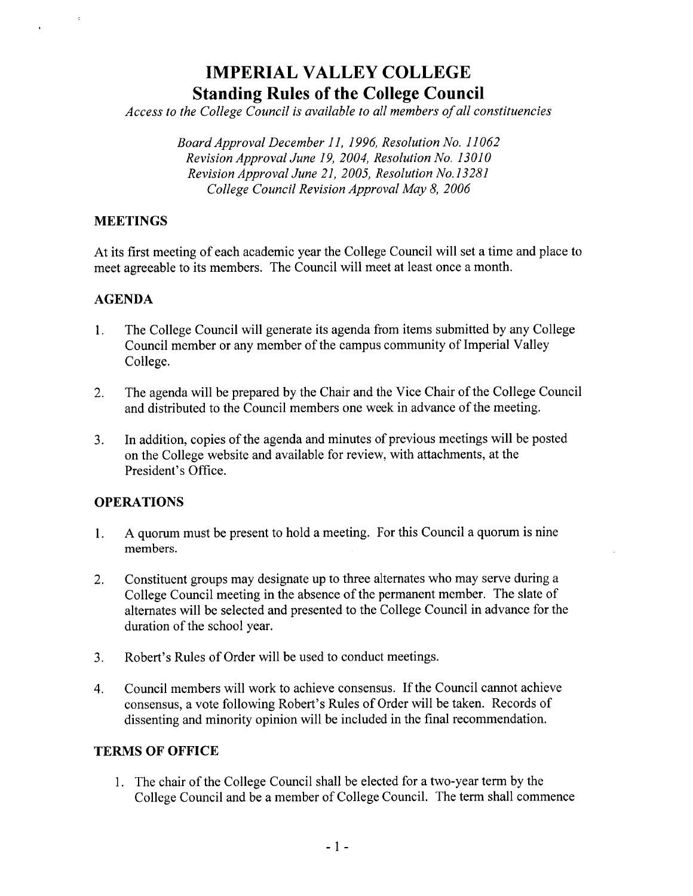## **IMPERIAL VALLEY COLLEGE Standing Rules of the College Council**

Access to the College Council is available to all members of all constituencies

Board Approval December 11, 1996, Resolution No. 11062 Revision Approval June 19, 2004, Resolution No. 13010 Revision Approval June 21, 2005, Resolution No.13281 College Council Revision Approval May 8, 2006

### **MEETINGS**

At its first meeting of each academic year the College Council will set a time and place to meet agreeable to its members. The Council will meet at least once a month.

#### **AGENDA**

- $1<sub>1</sub>$ The College Council will generate its agenda from items submitted by any College Council member or any member of the campus community of Imperial Valley College.
- The agenda will be prepared by the Chair and the Vice Chair of the College Council  $2.$ and distributed to the Council members one week in advance of the meeting.
- In addition, copies of the agenda and minutes of previous meetings will be posted  $\overline{3}$ . on the College website and available for review, with attachments, at the President's Office.

### **OPERATIONS**

- A quorum must be present to hold a meeting. For this Council a quorum is nine  $1.$ members.
- Constituent groups may designate up to three alternates who may serve during a  $2.$ College Council meeting in the absence of the permanent member. The slate of alternates will be selected and presented to the College Council in advance for the duration of the school year.
- Robert's Rules of Order will be used to conduct meetings.  $3<sub>1</sub>$
- Council members will work to achieve consensus. If the Council cannot achieve  $\overline{4}$ . consensus, a vote following Robert's Rules of Order will be taken. Records of dissenting and minority opinion will be included in the final recommendation.

#### **TERMS OF OFFICE**

1. The chair of the College Council shall be elected for a two-year term by the College Council and be a member of College Council. The term shall commence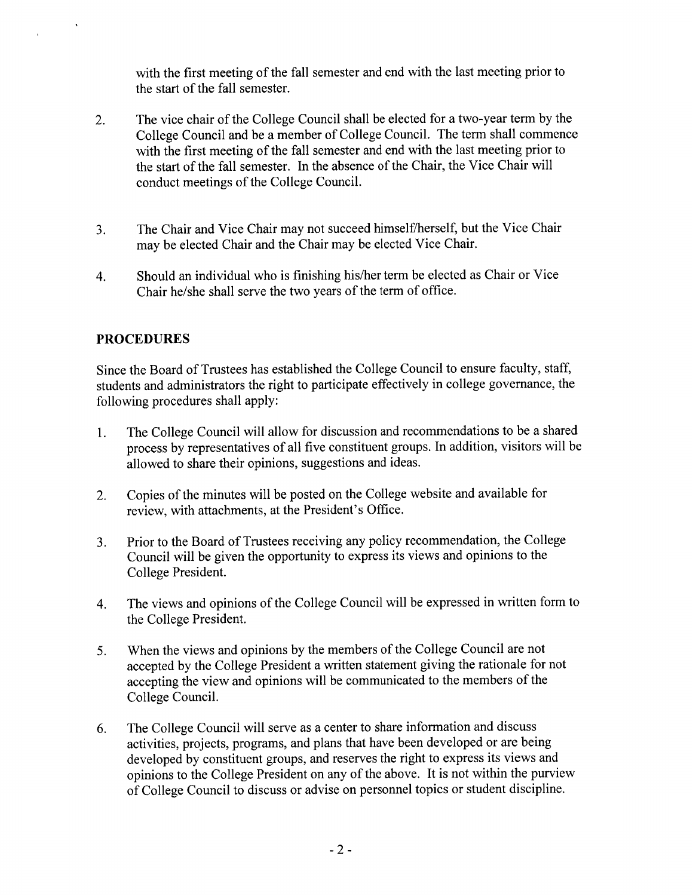with the first meeting of the fall semester and end with the last meeting prior to the start of the fall semester.

- The vice chair of the College Council shall be elected for a two-year term by the  $\overline{2}$ . College Council and be a member of College Council. The term shall commence with the first meeting of the fall semester and end with the last meeting prior to the start of the fall semester. In the absence of the Chair, the Vice Chair will conduct meetings of the College Council.
- The Chair and Vice Chair may not succeed himself/herself, but the Vice Chair  $3.$ may be elected Chair and the Chair may be elected Vice Chair.
- Should an individual who is finishing his/her term be elected as Chair or Vice  $\overline{4}$ . Chair he/she shall serve the two years of the term of office.

## **PROCEDURES**

Since the Board of Trustees has established the College Council to ensure faculty, staff, students and administrators the right to participate effectively in college governance, the following procedures shall apply:

- The College Council will allow for discussion and recommendations to be a shared  $1<sub>1</sub>$ process by representatives of all five constituent groups. In addition, visitors will be allowed to share their opinions, suggestions and ideas.
- Copies of the minutes will be posted on the College website and available for  $2.$ review, with attachments, at the President's Office.
- Prior to the Board of Trustees receiving any policy recommendation, the College  $3.$ Council will be given the opportunity to express its views and opinions to the College President.
- The views and opinions of the College Council will be expressed in written form to 4. the College President.
- When the views and opinions by the members of the College Council are not 5. accepted by the College President a written statement giving the rationale for not accepting the view and opinions will be communicated to the members of the College Council.
- The College Council will serve as a center to share information and discuss 6. activities, projects, programs, and plans that have been developed or are being developed by constituent groups, and reserves the right to express its views and opinions to the College President on any of the above. It is not within the purview of College Council to discuss or advise on personnel topics or student discipline.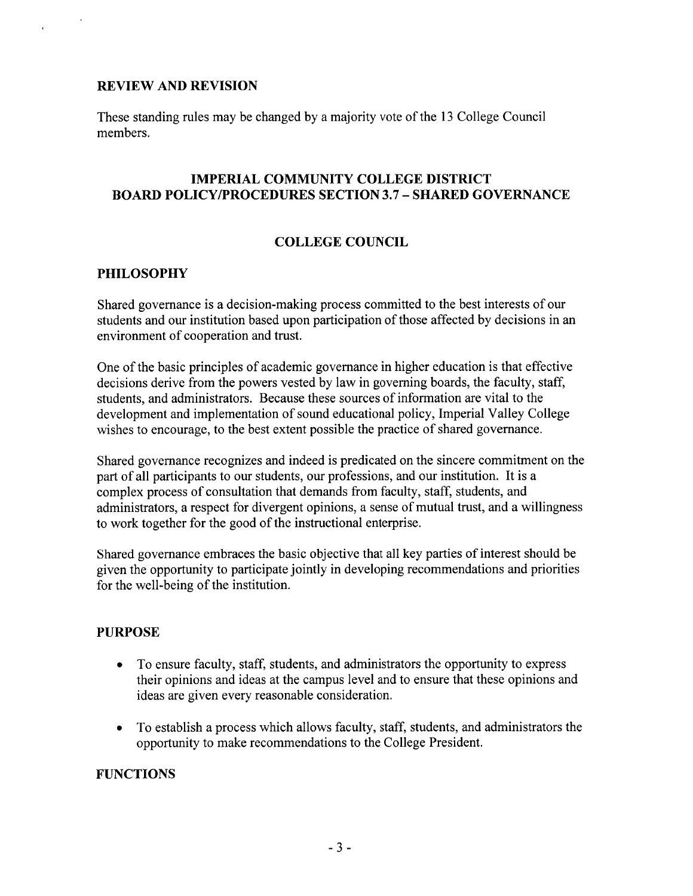#### **REVIEW AND REVISION**

These standing rules may be changed by a majority vote of the 13 College Council members.

#### **IMPERIAL COMMUNITY COLLEGE DISTRICT BOARD POLICY/PROCEDURES SECTION 3.7 - SHARED GOVERNANCE**

#### **COLLEGE COUNCIL**

#### **PHILOSOPHY**

Shared governance is a decision-making process committed to the best interests of our students and our institution based upon participation of those affected by decisions in an environment of cooperation and trust.

One of the basic principles of academic governance in higher education is that effective decisions derive from the powers vested by law in governing boards, the faculty, staff, students, and administrators. Because these sources of information are vital to the development and implementation of sound educational policy, Imperial Valley College wishes to encourage, to the best extent possible the practice of shared governance.

Shared governance recognizes and indeed is predicated on the sincere commitment on the part of all participants to our students, our professions, and our institution. It is a complex process of consultation that demands from faculty, staff, students, and administrators, a respect for divergent opinions, a sense of mutual trust, and a willingness to work together for the good of the instructional enterprise.

Shared governance embraces the basic objective that all key parties of interest should be given the opportunity to participate jointly in developing recommendations and priorities for the well-being of the institution.

#### **PURPOSE**

- To ensure faculty, staff, students, and administrators the opportunity to express  $\bullet$ their opinions and ideas at the campus level and to ensure that these opinions and ideas are given every reasonable consideration.
- To establish a process which allows faculty, staff, students, and administrators the  $\bullet$ opportunity to make recommendations to the College President.

#### **FUNCTIONS**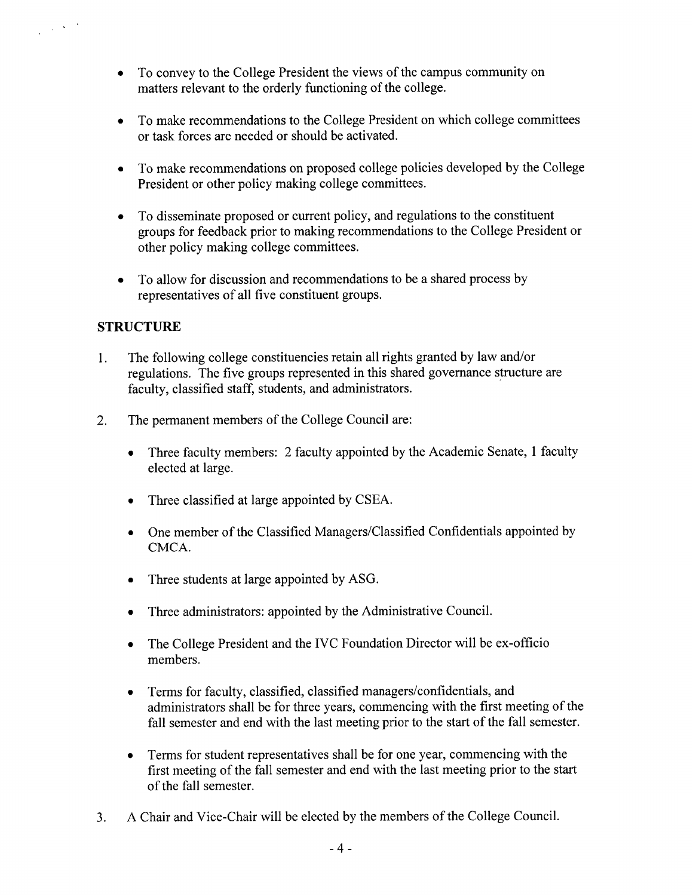- To convey to the College President the views of the campus community on matters relevant to the orderly functioning of the college.
- To make recommendations to the College President on which college committees or task forces are needed or should be activated.
- To make recommendations on proposed college policies developed by the College  $\bullet$ President or other policy making college committees.
- To disseminate proposed or current policy, and regulations to the constituent  $\bullet$ groups for feedback prior to making recommendations to the College President or other policy making college committees.
- To allow for discussion and recommendations to be a shared process by representatives of all five constituent groups.

## **STRUCTURE**

 $\mathcal{A}^{\mathcal{A}}$  ,  $\mathcal{A}^{\mathcal{A}}$  ,  $\mathcal{A}^{\mathcal{A}}$ 

- The following college constituencies retain all rights granted by law and/or  $1.$ regulations. The five groups represented in this shared governance structure are faculty, classified staff, students, and administrators.
- $2.$ The permanent members of the College Council are:
	- Three faculty members: 2 faculty appointed by the Academic Senate, 1 faculty  $\bullet$ elected at large.
	- Three classified at large appointed by CSEA.  $\bullet$
	- One member of the Classified Managers/Classified Confidentials appointed by CMCA.
	- Three students at large appointed by ASG.  $\bullet$
	- Three administrators: appointed by the Administrative Council.  $\bullet$
	- The College President and the IVC Foundation Director will be ex-officio  $\bullet$ members.
	- Terms for faculty, classified, classified managers/confidentials, and  $\bullet$ administrators shall be for three years, commencing with the first meeting of the fall semester and end with the last meeting prior to the start of the fall semester.
	- Terms for student representatives shall be for one year, commencing with the  $\bullet$ first meeting of the fall semester and end with the last meeting prior to the start of the fall semester.
- A Chair and Vice-Chair will be elected by the members of the College Council.  $3<sub>1</sub>$